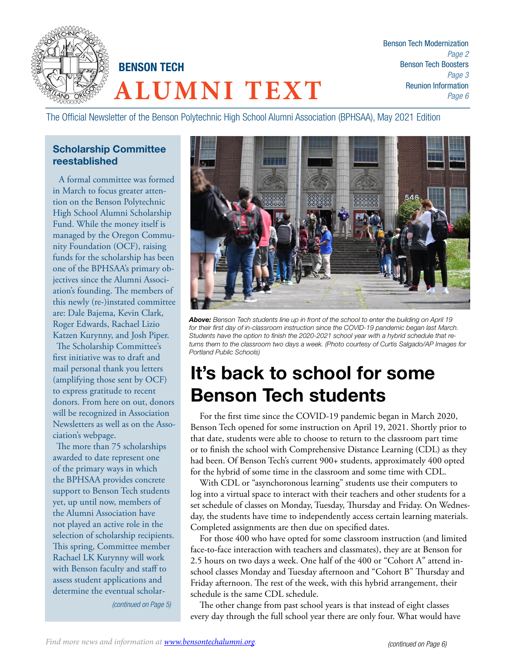

Benson Tech Modernization *Page 2* Benson Tech Boosters *Page 3* Reunion Information *Page 6*

The Official Newsletter of the Benson Polytechnic High School Alumni Association (BPHSAA), May 2021 Edition

### Scholarship Committee reestablished

 A formal committee was formed in March to focus greater attention on the Benson Polytechnic High School Alumni Scholarship Fund. While the money itself is managed by the Oregon Community Foundation (OCF), raising funds for the scholarship has been one of the BPHSAA's primary objectives since the Alumni Association's founding. The members of this newly (re-)instated committee are: Dale Bajema, Kevin Clark, Roger Edwards, Rachael Lizio Katzen Kurynny, and Josh Piper.

The Scholarship Committee's first initiative was to draft and mail personal thank you letters (amplifying those sent by OCF) to express gratitude to recent donors. From here on out, donors will be recognized in Association Newsletters as well as on the Association's webpage.

The more than 75 scholarships awarded to date represent one of the primary ways in which the BPHSAA provides concrete support to Benson Tech students yet, up until now, members of the Alumni Association have not played an active role in the selection of scholarship recipients. This spring, Committee member Rachael LK Kurynny will work with Benson faculty and staff to assess student applications and determine the eventual scholar-

*(continued on Page 5)*



*Above: Benson Tech students line up in front of the school to enter the building on April 19 for their first day of in-classroom instruction since the COVID-19 pandemic began last March. Students have the option to finish the 2020-2021 school year with a hybrid schedule that returns them to the classroom two days a week. (Photo courtesy of Curtis Salgado/AP Images for Portland Public Schools)*

## It's back to school for some Benson Tech students

For the first time since the COVID-19 pandemic began in March 2020, Benson Tech opened for some instruction on April 19, 2021. Shortly prior to that date, students were able to choose to return to the classroom part time or to finish the school with Comprehensive Distance Learning (CDL) as they had been. Of Benson Tech's current 900+ students, approximately 400 opted for the hybrid of some time in the classroom and some time with CDL.

With CDL or "asynchoronous learning" students use their computers to log into a virtual space to interact with their teachers and other students for a set schedule of classes on Monday, Tuesday, Thursday and Friday. On Wednesday, the students have time to independently access certain learning materials. Completed assignments are then due on specified dates.

For those 400 who have opted for some classroom instruction (and limited face-to-face interaction with teachers and classmates), they are at Benson for 2.5 hours on two days a week. One half of the 400 or "Cohort A" attend inschool classes Monday and Tuesday afternoon and "Cohort B" Thursday and Friday afternoon. The rest of the week, with this hybrid arrangement, their schedule is the same CDL schedule.

The other change from past school years is that instead of eight classes every day through the full school year there are only four. What would have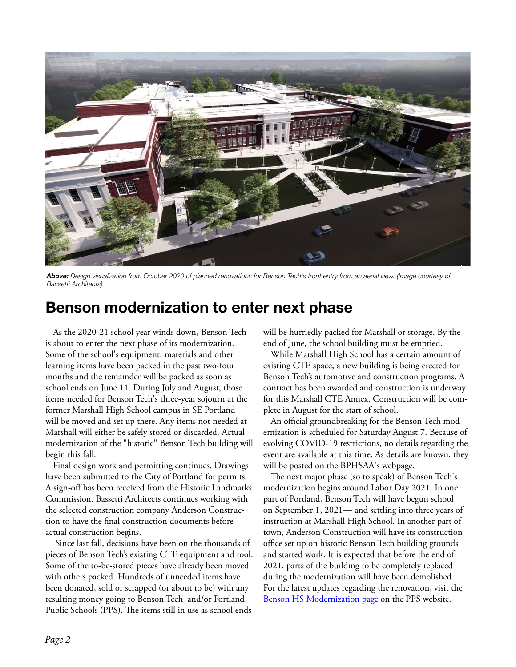

*Above: Design visualization from October 2020 of planned renovations for Benson Tech's front entry from an aerial view. (Image courtesy of Bassetti Architects)*

## Benson modernization to enter next phase

As the 2020-21 school year winds down, Benson Tech is about to enter the next phase of its modernization. Some of the school's equipment, materials and other learning items have been packed in the past two-four months and the remainder will be packed as soon as school ends on June 11. During July and August, those items needed for Benson Tech's three-year sojourn at the former Marshall High School campus in SE Portland will be moved and set up there. Any items not needed at Marshall will either be safely stored or discarded. Actual modernization of the "historic" Benson Tech building will begin this fall.

Final design work and permitting continues. Drawings have been submitted to the City of Portland for permits. A sign-off has been received from the Historic Landmarks Commission. Bassetti Architects continues working with the selected construction company Anderson Construction to have the final construction documents before actual construction begins.

 Since last fall, decisions have been on the thousands of pieces of Benson Tech's existing CTE equipment and tool. Some of the to-be-stored pieces have already been moved with others packed. Hundreds of unneeded items have been donated, sold or scrapped (or about to be) with any resulting money going to Benson Tech and/or Portland Public Schools (PPS). The items still in use as school ends

will be hurriedly packed for Marshall or storage. By the end of June, the school building must be emptied.

While Marshall High School has a certain amount of existing CTE space, a new building is being erected for Benson Tech's automotive and construction programs. A contract has been awarded and construction is underway for this Marshall CTE Annex. Construction will be complete in August for the start of school.

An official groundbreaking for the Benson Tech modernization is scheduled for Saturday August 7. Because of evolving COVID-19 restrictions, no details regarding the event are available at this time. As details are known, they will be posted on the BPHSAA's webpage.

The next major phase (so to speak) of Benson Tech's modernization begins around Labor Day 2021. In one part of Portland, Benson Tech will have begun school on September 1, 2021— and settling into three years of instruction at Marshall High School. In another part of town, Anderson Construction will have its construction office set up on historic Benson Tech building grounds and started work. It is expected that before the end of 2021, parts of the building to be completely replaced during the modernization will have been demolished. For the latest updates regarding the renovation, visit the [Benson HS Modernization page](https://www.pps.net/Page/1838) on the PPS website.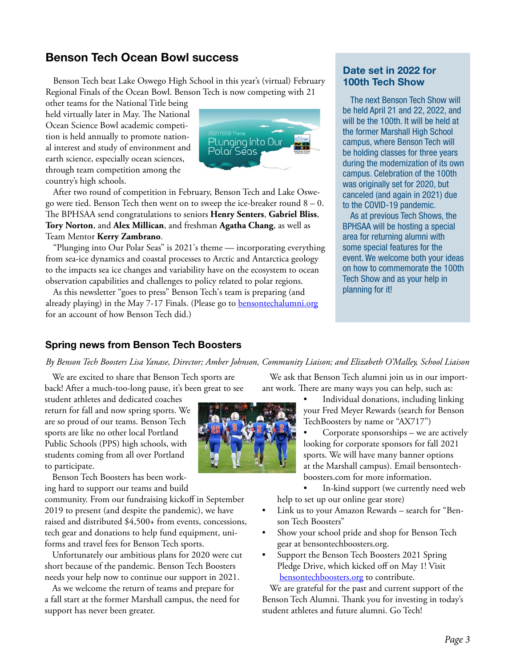## Benson Tech Ocean Bowl success

Benson Tech beat Lake Oswego High School in this year's (virtual) February Regional Finals of the Ocean Bowl. Benson Tech is now competing with 21

other teams for the National Title being held virtually later in May. The National Ocean Science Bowl academic competition is held annually to promote national interest and study of environment and earth science, especially ocean sciences, through team competition among the country's high schools.



After two round of competition in February, Benson Tech and Lake Oswego were tied. Benson Tech then went on to sweep the ice-breaker round  $8 - 0$ . The BPHSAA send congratulations to seniors **Henry Senters**, **Gabriel Bliss**, **Tory Norton**, and **Alex Millican**, and freshman **Agatha Chang**, as well as Team Mentor **Kerry Zambrano**.

"Plunging into Our Polar Seas" is 2021's theme — incorporating everything from sea-ice dynamics and coastal processes to Arctic and Antarctica geology to the impacts sea ice changes and variability have on the ecosystem to ocean observation capabilities and challenges to policy related to polar regions.

As this newsletter "goes to press" Benson Tech's team is preparing (and already playing) in the May 7-17 Finals. (Please go to [bensontechalumni.org](http://bensontechalumni.org) for an account of how Benson Tech did.)

#### Date set in 2022 for 100th Tech Show

The next Benson Tech Show will be held April 21 and 22, 2022, and will be the 100th. It will be held at the former Marshall High School campus, where Benson Tech will be holding classes for three years during the modernization of its own campus. Celebration of the 100th was originally set for 2020, but canceled (and again in 2021) due to the COVID-19 pandemic.

As at previous Tech Shows, the BPHSAA will be hosting a special area for returning alumni with some special features for the event. We welcome both your ideas on how to commemorate the 100th Tech Show and as your help in planning for it!

#### Spring news from Benson Tech Boosters

*By Benson Tech Boosters Lisa Yanase, Director; Amber Johnson, Community Liaison; and Elizabeth O'Malley, School Liaison*

We are excited to share that Benson Tech sports are back! After a much-too-long pause, it's been great to see

student athletes and dedicated coaches return for fall and now spring sports. We are so proud of our teams. Benson Tech sports are like no other local Portland Public Schools (PPS) high schools, with students coming from all over Portland to participate.

Benson Tech Boosters has been working hard to support our teams and build

community. From our fundraising kickoff in September 2019 to present (and despite the pandemic), we have raised and distributed \$4,500+ from events, concessions, tech gear and donations to help fund equipment, uniforms and travel fees for Benson Tech sports.

Unfortunately our ambitious plans for 2020 were cut short because of the pandemic. Benson Tech Boosters needs your help now to continue our support in 2021.

As we welcome the return of teams and prepare for a fall start at the former Marshall campus, the need for support has never been greater.

We ask that Benson Tech alumni join us in our important work. There are many ways you can help, such as:



• Individual donations, including linking your Fred Meyer Rewards (search for Benson TechBoosters by name or "AX717")

• Corporate sponsorships – we are actively looking for corporate sponsors for fall 2021 sports. We will have many banner options at the Marshall campus). Email bensontechboosters.com for more information.

In-kind support (we currently need web help to set up our online gear store)

- Link us to your Amazon Rewards search for "Benson Tech Boosters"
- Show your school pride and shop for Benson Tech gear at bensontechboosters.org.
- Support the Benson Tech Boosters 2021 Spring Pledge Drive, which kicked off on May 1! Visit [bensontechboosters.org](http://bensontechboosters.org) to contribute.

We are grateful for the past and current support of the Benson Tech Alumni. Thank you for investing in today's student athletes and future alumni. Go Tech!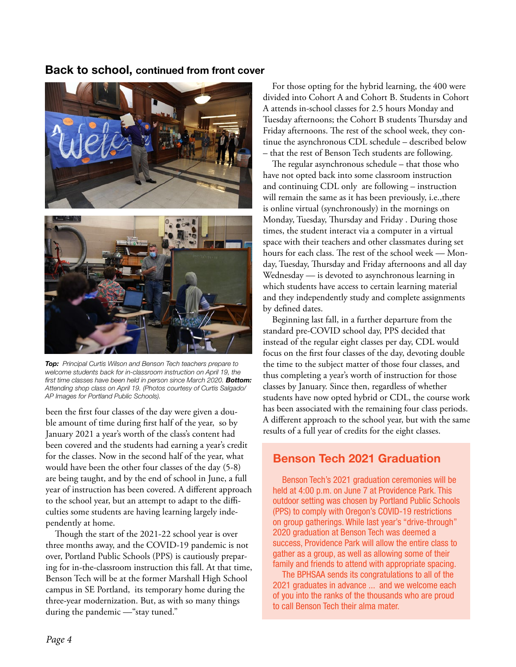#### Back to school, continued from front cover



*Top: Principal Curtis Wilson and Benson Tech teachers prepare to welcome students back for in-classroom instruction on April 19, the first time classes have been held in person since March 2020. Bottom: Attending shop class on April 19. (Photos courtesy of Curtis Salgado/ AP Images for Portland Public Schools).*

been the first four classes of the day were given a double amount of time during first half of the year, so by January 2021 a year's worth of the class's content had been covered and the students had earning a year's credit for the classes. Now in the second half of the year, what would have been the other four classes of the day (5-8) are being taught, and by the end of school in June, a full year of instruction has been covered. A different approach to the school year, but an attempt to adapt to the difficulties some students are having learning largely independently at home.

Though the start of the 2021-22 school year is over three months away, and the COVID-19 pandemic is not over, Portland Public Schools (PPS) is cautiously preparing for in-the-classroom instruction this fall. At that time, Benson Tech will be at the former Marshall High School campus in SE Portland, its temporary home during the three-year modernization. But, as with so many things during the pandemic —"stay tuned."

For those opting for the hybrid learning, the 400 were divided into Cohort A and Cohort B. Students in Cohort A attends in-school classes for 2.5 hours Monday and Tuesday afternoons; the Cohort B students Thursday and Friday afternoons. The rest of the school week, they continue the asynchronous CDL schedule – described below – that the rest of Benson Tech students are following.

The regular asynchronous schedule – that those who have not opted back into some classroom instruction and continuing CDL only are following – instruction will remain the same as it has been previously, i.e.,there is online virtual (synchronously) in the mornings on Monday, Tuesday, Thursday and Friday . During those times, the student interact via a computer in a virtual space with their teachers and other classmates during set hours for each class. The rest of the school week — Monday, Tuesday, Thursday and Friday afternoons and all day Wednesday — is devoted to asynchronous learning in which students have access to certain learning material and they independently study and complete assignments by defined dates.

Beginning last fall, in a further departure from the standard pre-COVID school day, PPS decided that instead of the regular eight classes per day, CDL would focus on the first four classes of the day, devoting double the time to the subject matter of those four classes, and thus completing a year's worth of instruction for those classes by January. Since then, regardless of whether students have now opted hybrid or CDL, the course work has been associated with the remaining four class periods. A different approach to the school year, but with the same results of a full year of credits for the eight classes.

## Benson Tech 2021 Graduation

Benson Tech's 2021 graduation ceremonies will be held at 4:00 p.m. on June 7 at Providence Park. This outdoor setting was chosen by Portland Public Schools (PPS) to comply with Oregon's COVID-19 restrictions on group gatherings. While last year's "drive-through" 2020 graduation at Benson Tech was deemed a success, Providence Park will allow the entire class to gather as a group, as well as allowing some of their family and friends to attend with appropriate spacing.

The BPHSAA sends its congratulations to all of the 2021 graduates in advance ... and we welcome each of you into the ranks of the thousands who are proud to call Benson Tech their alma mater.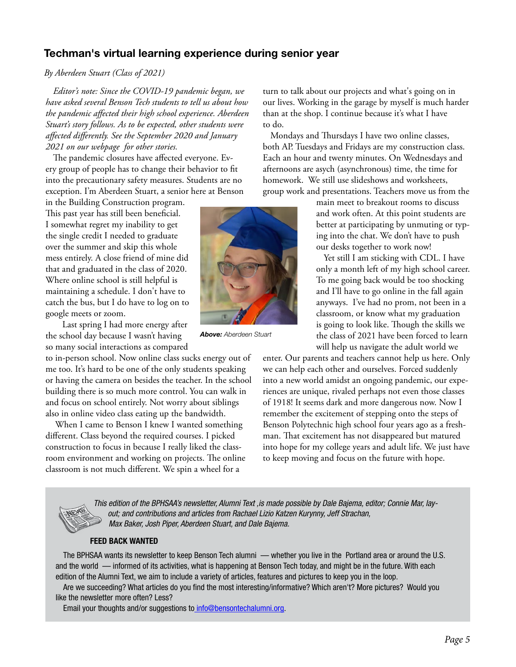## Techman's virtual learning experience during senior year

#### *By Aberdeen Stuart (Class of 2021)*

*Editor's note: Since the COVID-19 pandemic began, we have asked several Benson Tech students to tell us about how the pandemic affected their high school experience. Aberdeen Stuart's story follows. As to be expected, other students were affected differently. See the September 2020 and January 2021 on our webpage for other stories.* 

The pandemic closures have affected everyone. Every group of people has to change their behavior to fit into the precautionary safety measures. Students are no exception. I'm Aberdeen Stuart, a senior here at Benson

in the Building Construction program. This past year has still been beneficial. I somewhat regret my inability to get the single credit I needed to graduate over the summer and skip this whole mess entirely. A close friend of mine did that and graduated in the class of 2020. Where online school is still helpful is maintaining a schedule. I don't have to catch the bus, but I do have to log on to google meets or zoom.

 Last spring I had more energy after the school day because I wasn't having so many social interactions as compared

to in-person school. Now online class sucks energy out of me too. It's hard to be one of the only students speaking or having the camera on besides the teacher. In the school building there is so much more control. You can walk in and focus on school entirely. Not worry about siblings also in online video class eating up the bandwidth.

 When I came to Benson I knew I wanted something different. Class beyond the required courses. I picked construction to focus in because I really liked the classroom environment and working on projects. The online classroom is not much different. We spin a wheel for a



*Above: Aberdeen Stuart*

turn to talk about our projects and what's going on in our lives. Working in the garage by myself is much harder than at the shop. I continue because it's what I have to do.

Mondays and Thursdays I have two online classes, both AP. Tuesdays and Fridays are my construction class. Each an hour and twenty minutes. On Wednesdays and afternoons are asych (asynchronous) time, the time for homework. We still use slideshows and worksheets, group work and presentations. Teachers move us from the

> main meet to breakout rooms to discuss and work often. At this point students are better at participating by unmuting or typing into the chat. We don't have to push our desks together to work now!

> Yet still I am sticking with CDL. I have only a month left of my high school career. To me going back would be too shocking and I'll have to go online in the fall again anyways. I've had no prom, not been in a classroom, or know what my graduation is going to look like. Though the skills we the class of 2021 have been forced to learn will help us navigate the adult world we

enter. Our parents and teachers cannot help us here. Only we can help each other and ourselves. Forced suddenly into a new world amidst an ongoing pandemic, our experiences are unique, rivaled perhaps not even those classes of 1918! It seems dark and more dangerous now. Now I remember the excitement of stepping onto the steps of Benson Polytechnic high school four years ago as a freshman. That excitement has not disappeared but matured into hope for my college years and adult life. We just have to keep moving and focus on the future with hope.



*This edition of the BPHSAA's newsletter, Alumni Text ,is made possible by Dale Bajema, editor; Connie Mar, layout; and contributions and articles from Rachael Lizio Katzen Kurynny, Jeff Strachan, Max Baker, Josh Piper, Aberdeen Stuart, and Dale Bajema.* 

#### FEED BACK WANTED

The BPHSAA wants its newsletter to keep Benson Tech alumni — whether you live in the Portland area or around the U.S. and the world — informed of its activities, what is happening at Benson Tech today, and might be in the future. With each edition of the Alumni Text, we aim to include a variety of articles, features and pictures to keep you in the loop.

Are we succeeding? What articles do you find the most interesting/informative? Which aren't? More pictures? Would you like the newsletter more often? Less?

Email your thoughts and/or suggestions to [info@bensontechalumni.org](mailto:%20info%40bensontechalumni.org?subject=).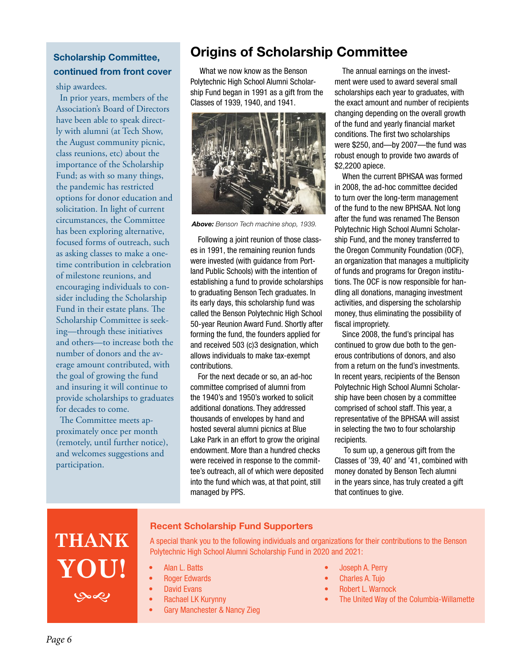## Scholarship Committee, continued from front cover

ship awardees.

In prior years, members of the Association's Board of Directors have been able to speak directly with alumni (at Tech Show, the August community picnic, class reunions, etc) about the importance of the Scholarship Fund; as with so many things, the pandemic has restricted options for donor education and solicitation. In light of current circumstances, the Committee has been exploring alternative, focused forms of outreach, such as asking classes to make a onetime contribution in celebration of milestone reunions, and encouraging individuals to consider including the Scholarship Fund in their estate plans. The Scholarship Committee is seeking—through these initiatives and others—to increase both the number of donors and the average amount contributed, with the goal of growing the fund and insuring it will continue to provide scholarships to graduates for decades to come.

The Committee meets approximately once per month (remotely, until further notice), and welcomes suggestions and participation.

## Origins of Scholarship Committee

What we now know as the Benson Polytechnic High School Alumni Scholarship Fund began in 1991 as a gift from the Classes of 1939, 1940, and 1941.



*Above: Benson Tech machine shop, 1939.*

Following a joint reunion of those classes in 1991, the remaining reunion funds were invested (with guidance from Portland Public Schools) with the intention of establishing a fund to provide scholarships to graduating Benson Tech graduates. In its early days, this scholarship fund was called the Benson Polytechnic High School 50-year Reunion Award Fund. Shortly after forming the fund, the founders applied for and received 503 (c)3 designation, which allows individuals to make tax-exempt contributions.

For the next decade or so, an ad-hoc committee comprised of alumni from the 1940's and 1950's worked to solicit additional donations. They addressed thousands of envelopes by hand and hosted several alumni picnics at Blue Lake Park in an effort to grow the original endowment. More than a hundred checks were received in response to the committee's outreach, all of which were deposited into the fund which was, at that point, still managed by PPS.

The annual earnings on the investment were used to award several small scholarships each year to graduates, with the exact amount and number of recipients changing depending on the overall growth of the fund and yearly financial market conditions. The first two scholarships were \$250, and—by 2007—the fund was robust enough to provide two awards of \$2,2200 apiece.

When the current BPHSAA was formed in 2008, the ad-hoc committee decided to turn over the long-term management of the fund to the new BPHSAA. Not long after the fund was renamed The Benson Polytechnic High School Alumni Scholarship Fund, and the money transferred to the Oregon Community Foundation (OCF), an organization that manages a multiplicity of funds and programs for Oregon institutions. The OCF is now responsible for handling all donations, managing investment activities, and dispersing the scholarship money, thus eliminating the possibility of fiscal impropriety.

Since 2008, the fund's principal has continued to grow due both to the generous contributions of donors, and also from a return on the fund's investments. In recent years, recipients of the Benson Polytechnic High School Alumni Scholarship have been chosen by a committee comprised of school staff. This year, a representative of the BPHSAA will assist in selecting the two to four scholarship recipients.

To sum up, a generous gift from the Classes of '39, 40' and '41, combined with money donated by Benson Tech alumni in the years since, has truly created a gift that continues to give.

# **THANK YOU!** Sept.

#### Recent Scholarship Fund Supporters

A special thank you to the following individuals and organizations for their contributions to the Benson Polytechnic High School Alumni Scholarship Fund in 2020 and 2021:

- Alan L. Batts
- **Roger Edwards**
- David Evans
- Rachael LK Kurynny
	- Gary Manchester & Nancy Zieg
- Joseph A. Perry
- Charles A. Tujo
- Robert L. Warnock
- The United Way of the Columbia-Willamette